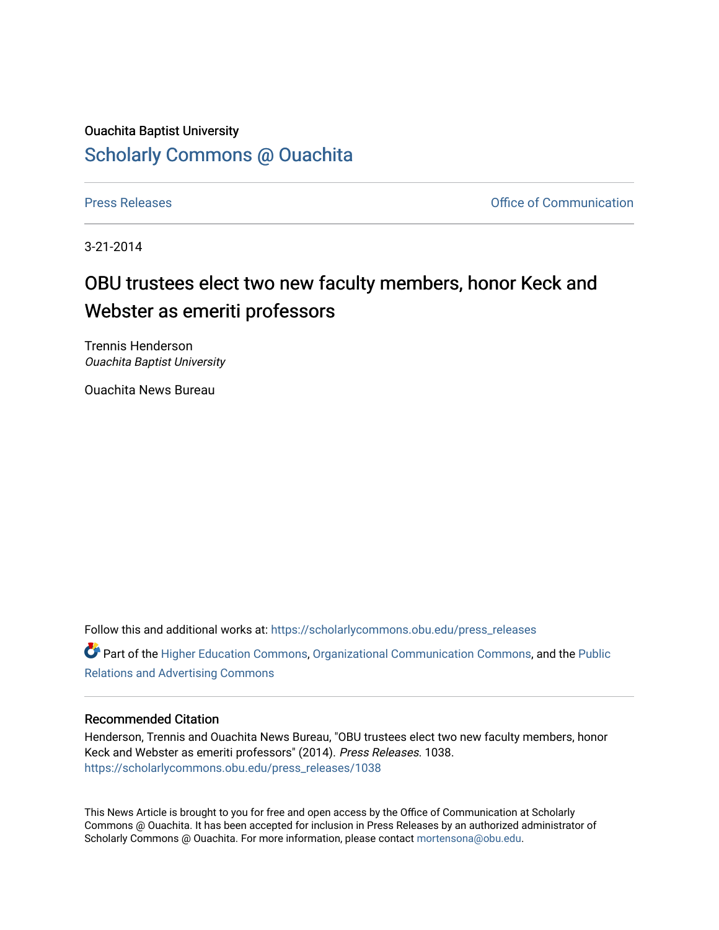## Ouachita Baptist University [Scholarly Commons @ Ouachita](https://scholarlycommons.obu.edu/)

[Press Releases](https://scholarlycommons.obu.edu/press_releases) **Press Releases Communication** 

3-21-2014

## OBU trustees elect two new faculty members, honor Keck and Webster as emeriti professors

Trennis Henderson Ouachita Baptist University

Ouachita News Bureau

Follow this and additional works at: [https://scholarlycommons.obu.edu/press\\_releases](https://scholarlycommons.obu.edu/press_releases?utm_source=scholarlycommons.obu.edu%2Fpress_releases%2F1038&utm_medium=PDF&utm_campaign=PDFCoverPages)

Part of the [Higher Education Commons,](http://network.bepress.com/hgg/discipline/1245?utm_source=scholarlycommons.obu.edu%2Fpress_releases%2F1038&utm_medium=PDF&utm_campaign=PDFCoverPages) [Organizational Communication Commons,](http://network.bepress.com/hgg/discipline/335?utm_source=scholarlycommons.obu.edu%2Fpress_releases%2F1038&utm_medium=PDF&utm_campaign=PDFCoverPages) and the [Public](http://network.bepress.com/hgg/discipline/336?utm_source=scholarlycommons.obu.edu%2Fpress_releases%2F1038&utm_medium=PDF&utm_campaign=PDFCoverPages) [Relations and Advertising Commons](http://network.bepress.com/hgg/discipline/336?utm_source=scholarlycommons.obu.edu%2Fpress_releases%2F1038&utm_medium=PDF&utm_campaign=PDFCoverPages) 

## Recommended Citation

Henderson, Trennis and Ouachita News Bureau, "OBU trustees elect two new faculty members, honor Keck and Webster as emeriti professors" (2014). Press Releases. 1038. [https://scholarlycommons.obu.edu/press\\_releases/1038](https://scholarlycommons.obu.edu/press_releases/1038?utm_source=scholarlycommons.obu.edu%2Fpress_releases%2F1038&utm_medium=PDF&utm_campaign=PDFCoverPages) 

This News Article is brought to you for free and open access by the Office of Communication at Scholarly Commons @ Ouachita. It has been accepted for inclusion in Press Releases by an authorized administrator of Scholarly Commons @ Ouachita. For more information, please contact [mortensona@obu.edu](mailto:mortensona@obu.edu).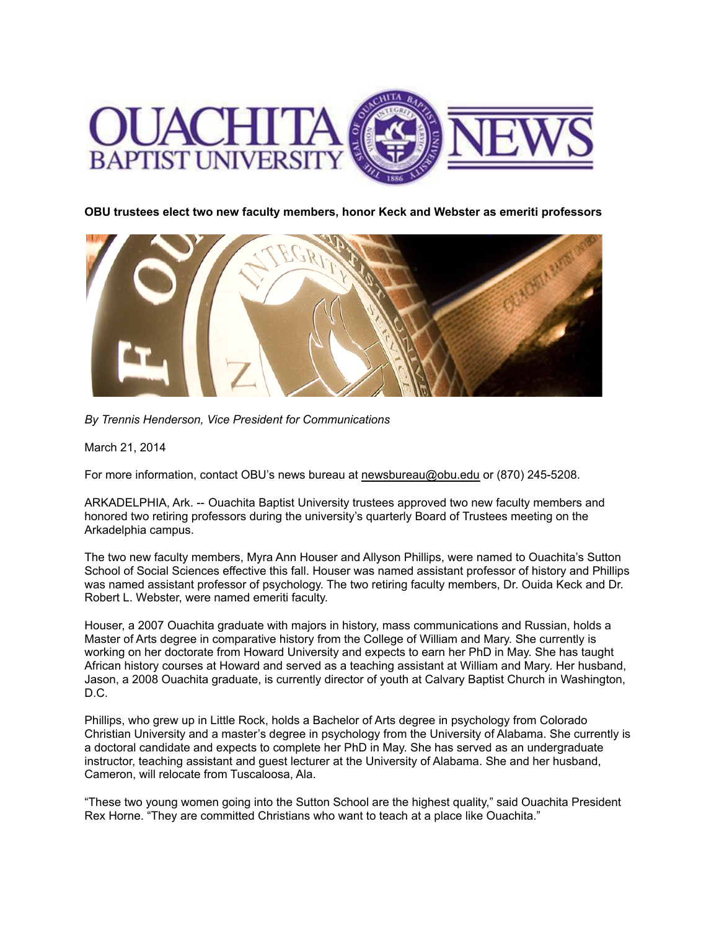

**OBU trustees elect two new faculty members, honor Keck and Webster as emeriti professors**



*By Trennis Henderson, Vice President for Communications*

March 21, 2014

For more information, contact OBU's news bureau at [newsbureau@obu.edu](mailto:newsbureau@obu.edu) or (870) 245-5208.

ARKADELPHIA, Ark. -- Ouachita Baptist University trustees approved two new faculty members and honored two retiring professors during the university's quarterly Board of Trustees meeting on the Arkadelphia campus.

The two new faculty members, Myra Ann Houser and Allyson Phillips, were named to Ouachita's Sutton School of Social Sciences effective this fall. Houser was named assistant professor of history and Phillips was named assistant professor of psychology. The two retiring faculty members, Dr. Ouida Keck and Dr. Robert L. Webster, were named emeriti faculty.

Houser, a 2007 Ouachita graduate with majors in history, mass communications and Russian, holds a Master of Arts degree in comparative history from the College of William and Mary. She currently is working on her doctorate from Howard University and expects to earn her PhD in May. She has taught African history courses at Howard and served as a teaching assistant at William and Mary. Her husband, Jason, a 2008 Ouachita graduate, is currently director of youth at Calvary Baptist Church in Washington, D.C.

Phillips, who grew up in Little Rock, holds a Bachelor of Arts degree in psychology from Colorado Christian University and a master's degree in psychology from the University of Alabama. She currently is a doctoral candidate and expects to complete her PhD in May. She has served as an undergraduate instructor, teaching assistant and guest lecturer at the University of Alabama. She and her husband, Cameron, will relocate from Tuscaloosa, Ala.

"These two young women going into the Sutton School are the highest quality," said Ouachita President Rex Horne. "They are committed Christians who want to teach at a place like Ouachita."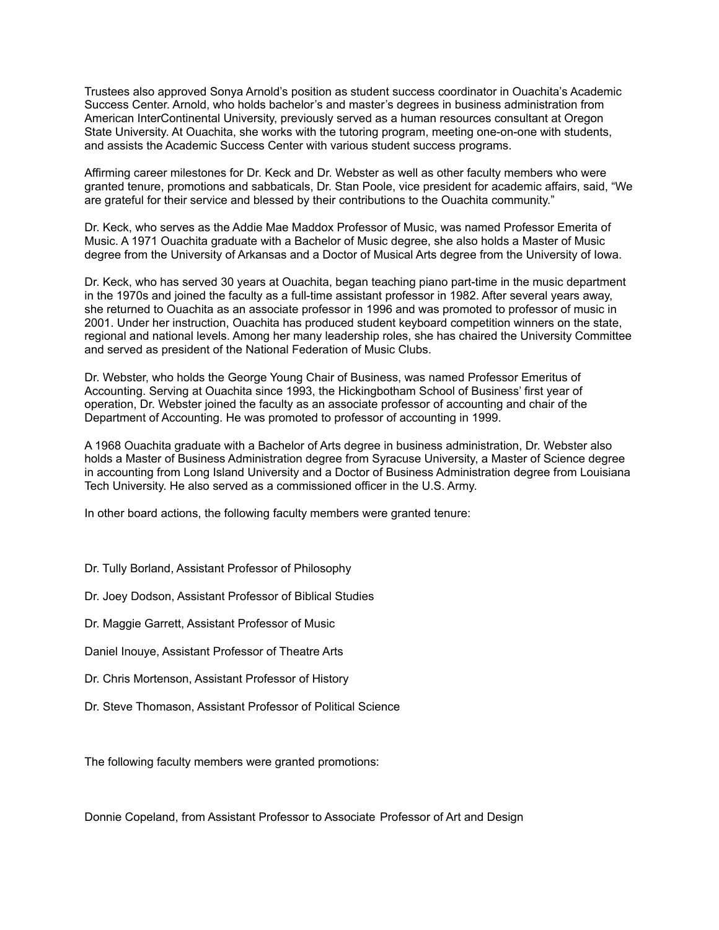Trustees also approved Sonya Arnold's position as student success coordinator in Ouachita's Academic Success Center. Arnold, who holds bachelor's and master's degrees in business administration from American InterContinental University, previously served as a human resources consultant at Oregon State University. At Ouachita, she works with the tutoring program, meeting one-on-one with students, and assists the Academic Success Center with various student success programs.

Affirming career milestones for Dr. Keck and Dr. Webster as well as other faculty members who were granted tenure, promotions and sabbaticals, Dr. Stan Poole, vice president for academic affairs, said, "We are grateful for their service and blessed by their contributions to the Ouachita community."

Dr. Keck, who serves as the Addie Mae Maddox Professor of Music, was named Professor Emerita of Music. A 1971 Ouachita graduate with a Bachelor of Music degree, she also holds a Master of Music degree from the University of Arkansas and a Doctor of Musical Arts degree from the University of Iowa.

Dr. Keck, who has served 30 years at Ouachita, began teaching piano part-time in the music department in the 1970s and joined the faculty as a full-time assistant professor in 1982. After several years away, she returned to Ouachita as an associate professor in 1996 and was promoted to professor of music in 2001. Under her instruction, Ouachita has produced student keyboard competition winners on the state, regional and national levels. Among her many leadership roles, she has chaired the University Committee and served as president of the National Federation of Music Clubs.

Dr. Webster, who holds the George Young Chair of Business, was named Professor Emeritus of Accounting. Serving at Ouachita since 1993, the Hickingbotham School of Business' first year of operation, Dr. Webster joined the faculty as an associate professor of accounting and chair of the Department of Accounting. He was promoted to professor of accounting in 1999.

A 1968 Ouachita graduate with a Bachelor of Arts degree in business administration, Dr. Webster also holds a Master of Business Administration degree from Syracuse University, a Master of Science degree in accounting from Long Island University and a Doctor of Business Administration degree from Louisiana Tech University. He also served as a commissioned officer in the U.S. Army.

In other board actions, the following faculty members were granted tenure:

- Dr. Tully Borland, Assistant Professor of Philosophy
- Dr. Joey Dodson, Assistant Professor of Biblical Studies
- Dr. Maggie Garrett, Assistant Professor of Music
- Daniel Inouye, Assistant Professor of Theatre Arts
- Dr. Chris Mortenson, Assistant Professor of History
- Dr. Steve Thomason, Assistant Professor of Political Science

The following faculty members were granted promotions:

Donnie Copeland, from Assistant Professor to Associate Professor of Art and Design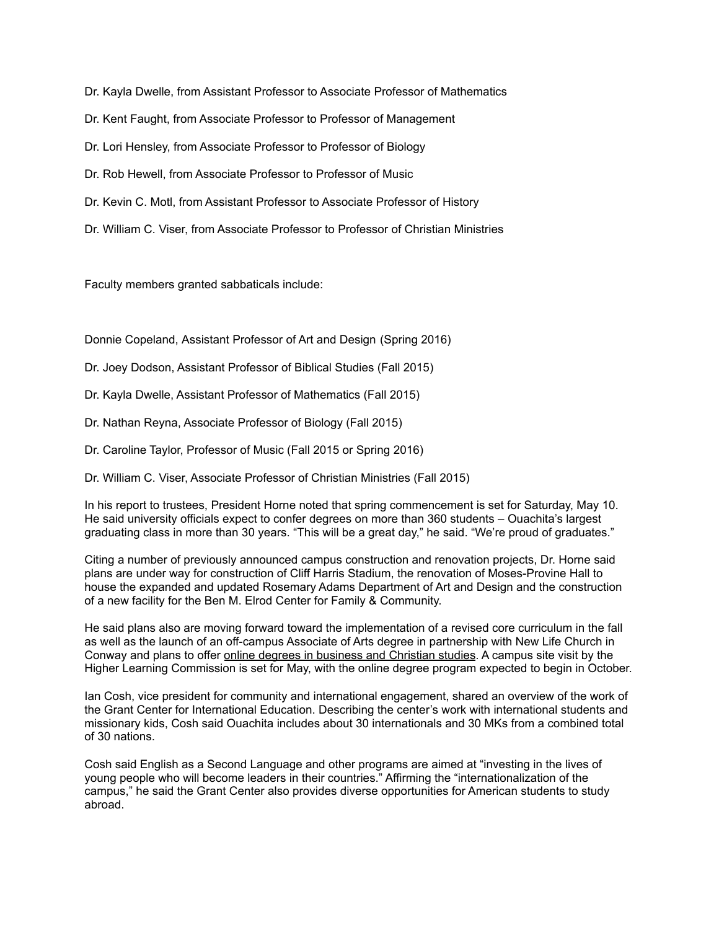Dr. Kayla Dwelle, from Assistant Professor to Associate Professor of Mathematics

Dr. Kent Faught, from Associate Professor to Professor of Management

Dr. Lori Hensley, from Associate Professor to Professor of Biology

Dr. Rob Hewell, from Associate Professor to Professor of Music

- Dr. Kevin C. Motl, from Assistant Professor to Associate Professor of History
- Dr. William C. Viser, from Associate Professor to Professor of Christian Ministries

Faculty members granted sabbaticals include:

Donnie Copeland, Assistant Professor of Art and Design (Spring 2016)

- Dr. Joey Dodson, Assistant Professor of Biblical Studies (Fall 2015)
- Dr. Kayla Dwelle, Assistant Professor of Mathematics (Fall 2015)
- Dr. Nathan Reyna, Associate Professor of Biology (Fall 2015)
- Dr. Caroline Taylor, Professor of Music (Fall 2015 or Spring 2016)
- Dr. William C. Viser, Associate Professor of Christian Ministries (Fall 2015)

In his report to trustees, President Horne noted that spring commencement is set for Saturday, May 10. He said university officials expect to confer degrees on more than 360 students – Ouachita's largest graduating class in more than 30 years. "This will be a great day," he said. "We're proud of graduates."

Citing a number of previously announced campus construction and renovation projects, Dr. Horne said plans are under way for construction of Cliff Harris Stadium, the renovation of Moses-Provine Hall to house the expanded and updated Rosemary Adams Department of Art and Design and the construction of a new facility for the Ben M. Elrod Center for Family & Community.

He said plans also are moving forward toward the implementation of a revised core curriculum in the fall as well as the launch of an off-campus Associate of Arts degree in partnership with New Life Church in Conway and plans to offer online degrees in [business](http://obu.edu/online/) and Christian studies. A campus site visit by the Higher Learning Commission is set for May, with the online degree program expected to begin in October.

Ian Cosh, vice president for community and international engagement, shared an overview of the work of the Grant Center for International Education. Describing the center's work with international students and missionary kids, Cosh said Ouachita includes about 30 internationals and 30 MKs from a combined total of 30 nations.

Cosh said English as a Second Language and other programs are aimed at "investing in the lives of young people who will become leaders in their countries." Affirming the "internationalization of the campus," he said the Grant Center also provides diverse opportunities for American students to study abroad.